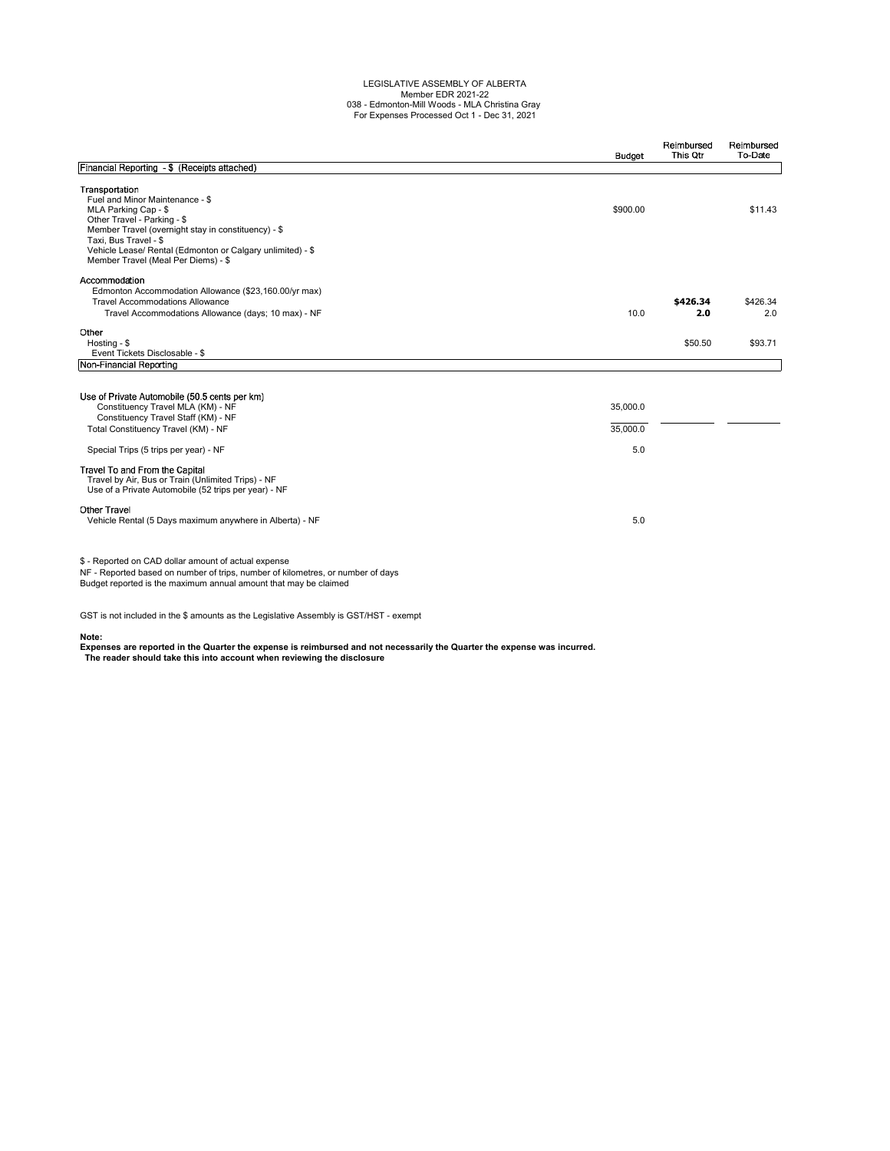## LEGISLATIVE ASSEMBLY OF ALBERTA Member EDR 2021-22 038 - Edmonton-Mill Woods - MLA Christina Gray For Expenses Processed Oct 1 - Dec 31, 2021

|                                                                                                                                                                                                                                                                                               | <b>Budget</b>               | Reimbursed<br>This Qtr | Reimbursed<br>To-Date |
|-----------------------------------------------------------------------------------------------------------------------------------------------------------------------------------------------------------------------------------------------------------------------------------------------|-----------------------------|------------------------|-----------------------|
| Financial Reporting - \$ (Receipts attached)                                                                                                                                                                                                                                                  |                             |                        |                       |
| Transportation<br>Fuel and Minor Maintenance - \$<br>MLA Parking Cap - \$<br>Other Travel - Parking - \$<br>Member Travel (overnight stay in constituency) - \$<br>Taxi, Bus Travel - \$<br>Vehicle Lease/ Rental (Edmonton or Calgary unlimited) - \$<br>Member Travel (Meal Per Diems) - \$ | \$900.00                    |                        | \$11.43               |
| Accommodation<br>Edmonton Accommodation Allowance (\$23,160.00/yr max)<br><b>Travel Accommodations Allowance</b><br>Travel Accommodations Allowance (days; 10 max) - NF                                                                                                                       | 10.0                        | \$426.34<br>2.0        | \$426.34<br>2.0       |
| Other<br>Hosting - \$<br>Event Tickets Disclosable - \$                                                                                                                                                                                                                                       |                             | \$50.50                | \$93.71               |
| Non-Financial Reporting                                                                                                                                                                                                                                                                       |                             |                        |                       |
| Use of Private Automobile (50.5 cents per km)<br>Constituency Travel MLA (KM) - NF<br>Constituency Travel Staff (KM) - NF<br>Total Constituency Travel (KM) - NF<br>Special Trips (5 trips per year) - NF                                                                                     | 35,000.0<br>35,000.0<br>5.0 |                        |                       |
| Travel To and From the Capital<br>Travel by Air, Bus or Train (Unlimited Trips) - NF<br>Use of a Private Automobile (52 trips per year) - NF                                                                                                                                                  |                             |                        |                       |
| <b>Other Travel</b><br>Vehicle Rental (5 Days maximum anywhere in Alberta) - NF                                                                                                                                                                                                               | 5.0                         |                        |                       |
| \$ - Reported on CAD dollar amount of actual expense<br>NF - Reported based on number of trips, number of kilometres, or number of days<br>Budget reported is the maximum annual amount that may be claimed                                                                                   |                             |                        |                       |

GST is not included in the \$ amounts as the Legislative Assembly is GST/HST - exempt

**Note: Expenses are reported in the Quarter the expense is reimbursed and not necessarily the Quarter the expense was incurred. The reader should take this into account when reviewing the disclosure**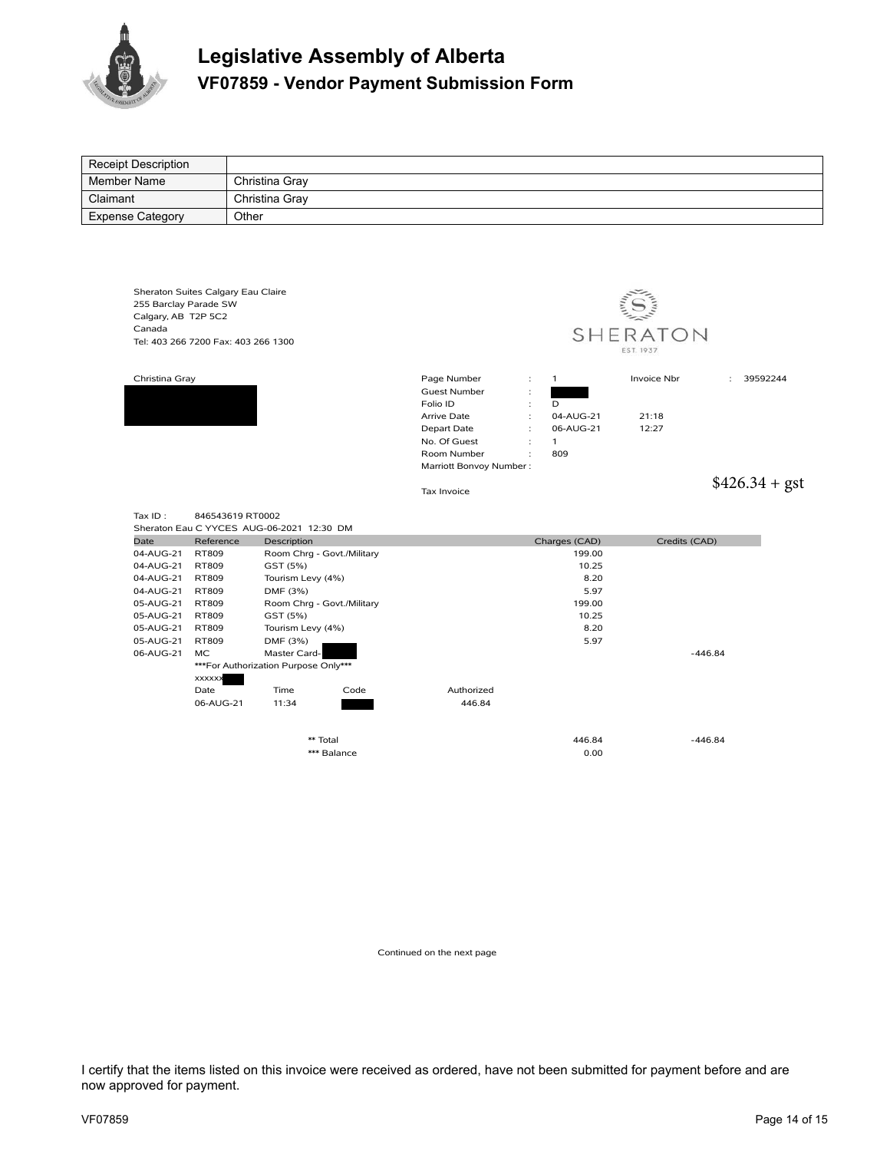

## **Legislative Assembly of Alberta VF07859 - Vendor Payment Submission Form**

| Receipt Description     |                                     |                                                          |                             |                                                   |               |                 |
|-------------------------|-------------------------------------|----------------------------------------------------------|-----------------------------|---------------------------------------------------|---------------|-----------------|
| <b>Member Name</b>      |                                     | Christina Gray                                           |                             |                                                   |               |                 |
| Claimant                |                                     | Christina Gray                                           |                             |                                                   |               |                 |
| <b>Expense Category</b> | Other                               |                                                          |                             |                                                   |               |                 |
|                         |                                     |                                                          |                             |                                                   |               |                 |
|                         |                                     |                                                          |                             |                                                   |               |                 |
|                         |                                     |                                                          |                             |                                                   |               |                 |
|                         |                                     |                                                          |                             |                                                   |               |                 |
|                         | Sheraton Suites Calgary Eau Claire  |                                                          |                             |                                                   |               |                 |
| 255 Barclay Parade SW   |                                     |                                                          |                             |                                                   |               |                 |
| Calgary, AB T2P 5C2     |                                     |                                                          |                             |                                                   |               |                 |
| Canada                  |                                     |                                                          |                             | SHERATON                                          |               |                 |
|                         | Tel: 403 266 7200 Fax: 403 266 1300 |                                                          |                             |                                                   | EST. 1937     |                 |
|                         |                                     |                                                          |                             |                                                   |               |                 |
| Christina Gray          |                                     |                                                          | Page Number                 | $\ddot{\cdot}$<br>$\mathbf{1}$                    | Invoice Nbr   | 39592244        |
|                         |                                     |                                                          | <b>Guest Number</b>         | $\ddot{\phantom{a}}$                              |               |                 |
|                         |                                     |                                                          | Folio ID                    | $\mathbf{r}$<br>D                                 |               |                 |
|                         |                                     |                                                          | Arrive Date                 | $\ddot{\cdot}$<br>04-AUG-21                       | 21:18         |                 |
|                         |                                     |                                                          | Depart Date                 | $\overline{\phantom{a}}$<br>06-AUG-21             | 12:27         |                 |
|                         |                                     |                                                          | No. Of Guest<br>Room Number | $\ddot{\cdot}$<br>$\mathbf{1}$<br>809<br>$\vdots$ |               |                 |
|                         |                                     |                                                          | Marriott Bonvoy Number:     |                                                   |               |                 |
|                         |                                     |                                                          |                             |                                                   |               |                 |
|                         |                                     |                                                          |                             |                                                   |               |                 |
|                         |                                     |                                                          | Tax Invoice                 |                                                   |               | $$426.34 + gst$ |
|                         |                                     |                                                          |                             |                                                   |               |                 |
| Tax ID:                 | 846543619 RT0002                    |                                                          |                             |                                                   |               |                 |
| Date                    | Reference                           | Sheraton Eau C YYCES AUG-06-2021 12:30 DM<br>Description |                             | Charges (CAD)                                     | Credits (CAD) |                 |
| 04-AUG-21               | <b>RT809</b>                        | Room Chrg - Govt./Military                               |                             | 199.00                                            |               |                 |
| 04-AUG-21               | <b>RT809</b>                        | GST (5%)                                                 |                             | 10.25                                             |               |                 |
| 04-AUG-21               | <b>RT809</b>                        | Tourism Levy (4%)                                        |                             | 8.20                                              |               |                 |
| 04-AUG-21               | <b>RT809</b>                        | DMF (3%)                                                 |                             | 5.97                                              |               |                 |
| 05-AUG-21               | <b>RT809</b>                        | Room Chrg - Govt./Military                               |                             | 199.00                                            |               |                 |
| 05-AUG-21               | <b>RT809</b>                        | GST (5%)                                                 |                             | 10.25                                             |               |                 |
| 05-AUG-21               | <b>RT809</b><br><b>RT809</b>        | Tourism Levy (4%)                                        |                             | 8.20                                              |               |                 |
| 05-AUG-21<br>06-AUG-21  | <b>MC</b>                           | DMF (3%)<br>Master Card-                                 |                             | 5.97                                              |               | $-446.84$       |
|                         |                                     | ***For Authorization Purpose Only***                     |                             |                                                   |               |                 |
|                         | <b>XXXXXX</b>                       |                                                          |                             |                                                   |               |                 |
|                         | Date                                | Time<br>Code                                             | Authorized                  |                                                   |               |                 |
|                         | 06-AUG-21                           | 11:34                                                    | 446.84                      |                                                   |               |                 |
|                         |                                     |                                                          |                             |                                                   |               |                 |
|                         |                                     | ** Total                                                 |                             | 446.84                                            |               | $-446.84$       |
|                         |                                     | *** Balance                                              |                             | 0.00                                              |               |                 |
|                         |                                     |                                                          |                             |                                                   |               |                 |

Continued on the next page

I certify that the items listed on this invoice were received as ordered, have not been submitted for payment before and are now approved for payment.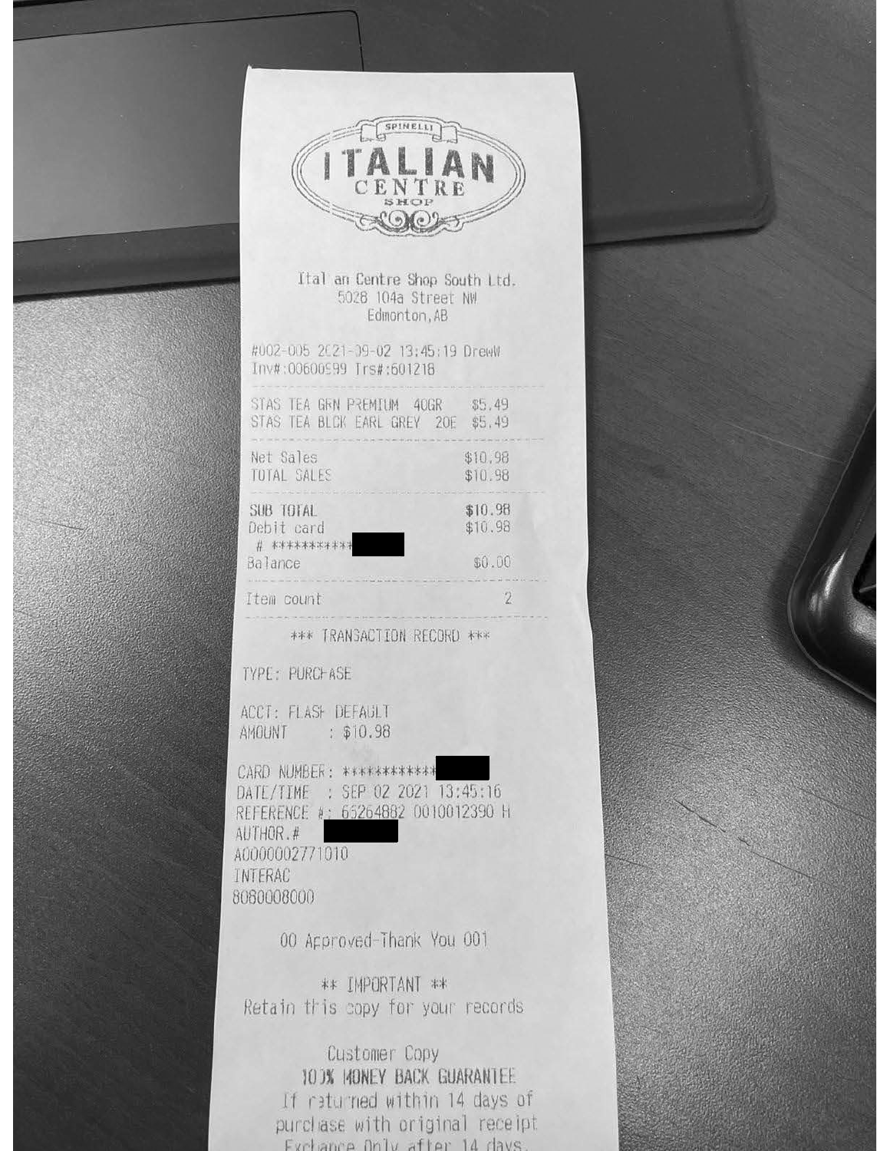



Ital an Centre Shop South Ltd. 5028 104a Street NW Edmonton, AB

#002-005 2021-09-02 13:45:19 DrewW Inv#:00600999 Trs#:601218

| STAS TEA GEN PREMIUM 40GR<br>STAS TEA BLCK EARL GREY 20E                                                                                                                                                                                                   | \$5,49<br>\$5.49                                           |
|------------------------------------------------------------------------------------------------------------------------------------------------------------------------------------------------------------------------------------------------------------|------------------------------------------------------------|
| THE R. P. LEWIS CO., LANSING MICH. 49-14039-1-120-2: 120-2: 120-2: 120-2: 120-2: 120-2: 120-2: 120-2: 120-2: 120-2: 120-2: 120-2: 120-2: 120-2: 120-2: 120-2: 120-2: 120-2: 120-2: 120-2: 120-2: 120-2: 120-2: 120-2: 120-2: 1<br>Net Sales<br>TUTAL SALES | \$10,98<br>\$10.98                                         |
| and the seasons but the last set out and his results are control in a few out one and but set in com-<br>SUB TOTAL<br>Debit card<br># ************                                                                                                         | tem into and test year and help your<br>\$10.98<br>\$10.98 |
| Balance                                                                                                                                                                                                                                                    | \$0.00                                                     |
| tem count                                                                                                                                                                                                                                                  |                                                            |

\*\*\* TRANSACTION RECORD \*\*\*

TYPE: PURCHASE

ACCT: FLASH DEFAULT AMOUNT : \$10.98

CARD NUMBER: \*\*\*\*\*\*\*\*\*\*\*\* DATE/TIME : SEP 02 2021 13:45:16 REFERENCE #: 65264882 0010012390 H AUTHOR.# A0000002771010 INTERAC 8080008000

00 Approved-Thank You 001

\*\* IMPORTANT \*\* Retain this copy for your records

Customer Copy 10 DK HONEY BACK GUARANTEE If returned within 14 days of purchase with original receipt Exchange Only after 14 days.